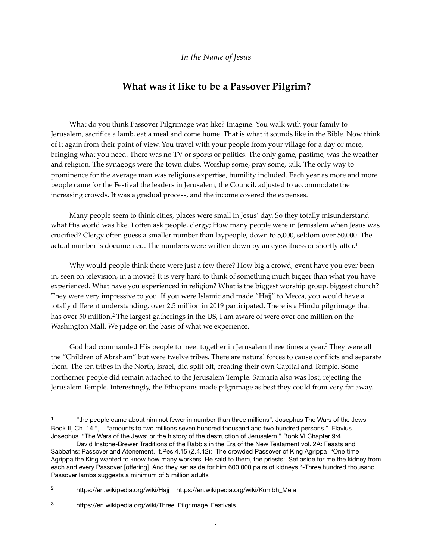## <span id="page-0-3"></span>**What was it like to be a Passover Pilgrim?**

What do you think Passover Pilgrimage was like? Imagine. You walk with your family to Jerusalem, sacrifice a lamb, eat a meal and come home. That is what it sounds like in the Bible. Now think of it again from their point of view. You travel with your people from your village for a day or more, bringing what you need. There was no TV or sports or politics. The only game, pastime, was the weather and religion. The synagogs were the town clubs. Worship some, pray some, talk. The only way to prominence for the average man was religious expertise, humility included. Each year as more and more people came for the Festival the leaders in Jerusalem, the Council, adjusted to accommodate the increasing crowds. It was a gradual process, and the income covered the expenses.

Many people seem to think cities, places were small in Jesus' day. So they totally misunderstand what His world was like. I often ask people, clergy; How many people were in Jerusalem when Jesus was crucified? Clergy often guess a smaller number than laypeople, down to 5,000, seldom over 50,000. The actual number is documented. The numbers were written down by an eyewitness or shortly after.<sup>[1](#page-0-0)</sup>

Why would people think there were just a few there? How big a crowd, event have you ever been in, seen on television, in a movie? It is very hard to think of something much bigger than what you have experienced. What have you experienced in religion? What is the biggest worship group, biggest church? They were very impressive to you. If you were Islamic and made "Hajj" to Mecca, you would have a totally different understanding, over 2.5 million in 2019 participated. There is a Hindu pilgrimage that hasover 50 million.<sup>[2](#page-0-1)</sup> The largest gatherings in the US, I am aware of were over one million on the Washington Mall. We judge on the basis of what we experience.

<span id="page-0-5"></span><span id="page-0-4"></span>God had commanded His people to meet together in Jerusalem three times a year[.](#page-0-2)<sup>[3](#page-0-2)</sup> They were all the "Children of Abraham" but were twelve tribes. There are natural forces to cause conflicts and separate them. The ten tribes in the North, Israel, did split off, creating their own Capital and Temple. Some northerner people did remain attached to the Jerusalem Temple. Samaria also was lost, rejecting the Jerusalem Temple. Interestingly, the Ethiopians made pilgrimage as best they could from very far away.

<span id="page-0-0"></span>[<sup>1</sup>](#page-0-3) "the people came about him not fewer in number than three millions". Josephus The Wars of the Jews Book II, Ch. 14 ", "amounts to two millions seven hundred thousand and two hundred persons " Flavius Josephus. "The Wars of the Jews; or the history of the destruction of Jerusalem." Book VI Chapter 9:4

David Instone-Brewer Traditions of the Rabbis in the Era of the New Testament vol. 2A: Feasts and Sabbaths: Passover and Atonement. t.Pes.4.15 (Z.4.12): The crowded Passover of King Agrippa "One time Agrippa the King wanted to know how many workers. He said to them, the priests: Set aside for me the kidney from each and every Passover [offering]. And they set aside for him 600,000 pairs of kidneys "-Three hundred thousand Passover lambs suggests a minimum of 5 million adults

<span id="page-0-1"></span><https://en.wikipedia.org/wiki/Hajj>[https://en.wikipedia.org/wiki/Kumbh\\_Mela](https://en.wikipedia.org/wiki/Kumbh_Mela) [2](#page-0-4)

<span id="page-0-2"></span>[https://en.wikipedia.org/wiki/Three\\_Pilgrimage\\_Festivals](https://en.wikipedia.org/wiki/Three_Pilgrimage_Festivals) [3](#page-0-5)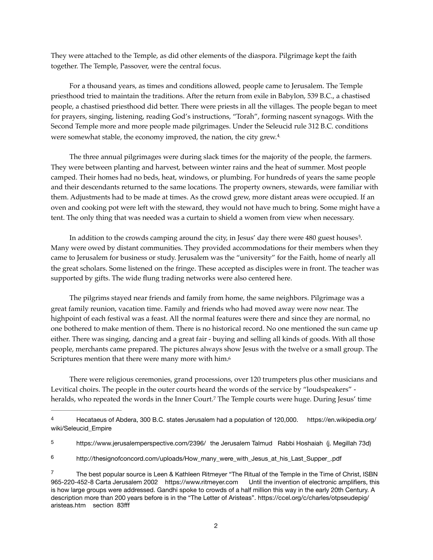They were attached to the Temple, as did other elements of the diaspora. Pilgrimage kept the faith together. The Temple, Passover, were the central focus.

For a thousand years, as times and conditions allowed, people came to Jerusalem. The Temple priesthood tried to maintain the traditions. After the return from exile in Babylon, 539 B.C., a chastised people, a chastised priesthood did better. There were priests in all the villages. The people began to meet for prayers, singing, listening, reading God's instructions, "Torah", forming nascent synagogs. With the Second Temple more and more people made pilgrimages. Under the Seleucid rule 312 B.C. conditions were somewhat stable, the economy improved, the nation, the city grew.[4.](#page-1-0)

<span id="page-1-4"></span>The three annual pilgrimages were during slack times for the majority of the people, the farmers. They were between planting and harvest, between winter rains and the heat of summer. Most people camped. Their homes had no beds, heat, windows, or plumbing. For hundreds of years the same people and their descendants returned to the same locations. The property owners, stewards, were familiar with them. Adjustments had to be made at times. As the crowd grew, more distant areas were occupied. If an oven and cooking pot were left with the steward, they would not have much to bring. Some might have a tent. The only thing that was needed was a curtain to shield a women from view when necessary.

<span id="page-1-5"></span>In addition to the crowds camping around the city, in Jesus' day there were 480 guest houses<sup>[5](#page-1-1)</sup>. Many were owed by distant communities. They provided accommodations for their members when they came to Jerusalem for business or study. Jerusalem was the "university" for the Faith, home of nearly all the great scholars. Some listened on the fringe. These accepted as disciples were in front. The teacher was supported by gifts. The wide flung trading networks were also centered here.

The pilgrims stayed near friends and family from home, the same neighbors. Pilgrimage was a great family reunion, vacation time. Family and friends who had moved away were now near. The highpoint of each festival was a feast. All the normal features were there and since they are normal, no one bothered to make mention of them. There is no historical record. No one mentioned the sun came up either. There was singing, dancing and a great fair - buying and selling all kinds of goods. With all those people, merchants came prepared. The pictures always show Jesus with the twelve or a small group. The Scriptures mention that there were many more with him.<sup>6</sup>

<span id="page-1-7"></span><span id="page-1-6"></span>There were religious ceremonies, grand processions, over 120 trumpeters plus other musicians and Levitical choirs. The people in the outer courts heard the words of the service by "loudspeakers" - heralds, who repeated the words in the Inner Court.<sup>[7](#page-1-3)</sup> The Temple courts were huge. During Jesus' time

<span id="page-1-0"></span>[<sup>4</sup>](#page-1-4) Hecataeus of Abdera, 300 B.C. states Jerusalem had a population of 120,000. [https://en.wikipedia.org/](https://en.wikipedia.org/wiki/Seleucid_Empire) [wiki/Seleucid\\_Empire](https://en.wikipedia.org/wiki/Seleucid_Empire) 

<span id="page-1-1"></span>[<sup>5</sup>](#page-1-5) <https://www.jerusalemperspective.com/2396/> the Jerusalem Talmud Rabbi Hoshaiah (j. Megillah 73d)

<span id="page-1-2"></span>[http://thesignofconcord.com/uploads/How\\_many\\_were\\_with\\_Jesus\\_at\\_his\\_Last\\_Supper\\_.pdf](http://thesignofconcord.com/uploads/How_many_were_with_Jesus_at_his_Last_Supper_.pdf) [6](#page-1-6)

<span id="page-1-3"></span>The best popular source is Leen & Kathleen Ritmeyer "The Ritual of the Temple in the Time of Christ, ISBN [7](#page-1-7) 965-220-452-8 Carta Jerusalem 2002 <https://www.ritmeyer.com>Until the invention of electronic amplifiers, this is how large groups were addressed. Gandhi spoke to crowds of a half million this way in the early 20th Century. A description more than 200 years before is in the "The Letter of Aristeas". [https://ccel.org/c/charles/otpseudepig/](https://ccel.org/c/charles/otpseudepig/aristeas.htm) [aristeas.htm](https://ccel.org/c/charles/otpseudepig/aristeas.htm) section 83fff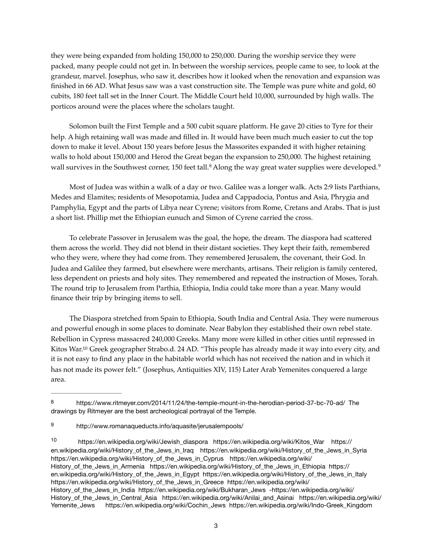they were being expanded from holding 150,000 to 250,000. During the worship service they were packed, many people could not get in. In between the worship services, people came to see, to look at the grandeur, marvel. Josephus, who saw it, describes how it looked when the renovation and expansion was finished in 66 AD. What Jesus saw was a vast construction site. The Temple was pure white and gold, 60 cubits, 180 feet tall set in the Inner Court. The Middle Court held 10,000, surrounded by high walls. The porticos around were the places where the scholars taught.

Solomon built the First Temple and a 500 cubit square platform. He gave 20 cities to Tyre for their help. A high retaining wall was made and filled in. It would have been much much easier to cut the top down to make it level. About 150 years before Jesus the Massorites expanded it with higher retaining walls to hold about 150,000 and Herod the Great began the expansion to 250,000. The highest retaining wallsurvives in the Southwest corner, 150 feet tall.<sup>8</sup> Along the way great water supplies were developed.<sup>[9](#page-2-1)</sup>

<span id="page-2-4"></span><span id="page-2-3"></span>Most of Judea was within a walk of a day or two. Galilee was a longer walk. Acts 2:9 lists Parthians, Medes and Elamites; residents of Mesopotamia, Judea and Cappadocia, Pontus and Asia, Phrygia and Pamphylia, Egypt and the parts of Libya near Cyrene; visitors from Rome, Cretans and Arabs. That is just a short list. Phillip met the Ethiopian eunuch and Simon of Cyrene carried the cross.

To celebrate Passover in Jerusalem was the goal, the hope, the dream. The diaspora had scattered them across the world. They did not blend in their distant societies. They kept their faith, remembered who they were, where they had come from. They remembered Jerusalem, the covenant, their God. In Judea and Galilee they farmed, but elsewhere were merchants, artisans. Their religion is family centered, less dependent on priests and holy sites. They remembered and repeated the instruction of Moses, Torah. The round trip to Jerusalem from Parthia, Ethiopia, India could take more than a year. Many would finance their trip by bringing items to sell.

<span id="page-2-5"></span>The Diaspora stretched from Spain to Ethiopia, South India and Central Asia. They were numerous and powerful enough in some places to dominate. Near Babylon they established their own rebel state. Rebellion in Cypress massacred 240,000 Greeks. Many more were killed in other cities until repressed in Kitos War[.](#page-2-2)<sup>[10](#page-2-2)</sup> Greek geographer Strabo.d. 24 AD. "This people has already made it way into every city, and it is not easy to find any place in the habitable world which has not received the nation and in which it has not made its power felt." (Josephus, Antiquities XIV, 115) Later Arab Yemenites conquered a large area.

<span id="page-2-0"></span>[<sup>8</sup>](#page-2-3) <https://www.ritmeyer.com/2014/11/24/the-temple-mount-in-the-herodian-period-37-bc-70-ad/> The drawings by Ritmeyer are the best archeological portrayal of the Temple.

<span id="page-2-1"></span><http://www.romanaqueducts.info/aquasite/jerusalempools/> [9](#page-2-4)

<span id="page-2-2"></span>[https://en.wikipedia.org/wiki/Jewish\\_diaspora](https://en.wikipedia.org/wiki/Jewish_diaspora) [https://en.wikipedia.org/wiki/Kitos\\_War](https://en.wikipedia.org/wiki/Kitos_War) [https://](https://en.wikipedia.org/wiki/History_of_the_Jews_in_Iraq) [10](#page-2-5) [en.wikipedia.org/wiki/History\\_of\\_the\\_Jews\\_in\\_Iraq](https://en.wikipedia.org/wiki/History_of_the_Jews_in_Iraq) [https://en.wikipedia.org/wiki/History\\_of\\_the\\_Jews\\_in\\_Syria](https://en.wikipedia.org/wiki/History_of_the_Jews_in_Syria)  [https://en.wikipedia.org/wiki/History\\_of\\_the\\_Jews\\_in\\_Cyprus](https://en.wikipedia.org/wiki/History_of_the_Jews_in_Cyprus) [https://en.wikipedia.org/wiki/](https://en.wikipedia.org/wiki/History_of_the_Jews_in_Armenia) [History\\_of\\_the\\_Jews\\_in\\_Armenia](https://en.wikipedia.org/wiki/History_of_the_Jews_in_Armenia) [https://en.wikipedia.org/wiki/History\\_of\\_the\\_Jews\\_in\\_Ethiopia](https://en.wikipedia.org/wiki/History_of_the_Jews_in_Ethiopia) [https://](https://en.wikipedia.org/wiki/History_of_the_Jews_in_Egypt) [en.wikipedia.org/wiki/History\\_of\\_the\\_Jews\\_in\\_Egypt](https://en.wikipedia.org/wiki/History_of_the_Jews_in_Egypt) [https://en.wikipedia.org/wiki/History\\_of\\_the\\_Jews\\_in\\_Italy](https://en.wikipedia.org/wiki/History_of_the_Jews_in_Italy)  [https://en.wikipedia.org/wiki/History\\_of\\_the\\_Jews\\_in\\_Greece](https://en.wikipedia.org/wiki/History_of_the_Jews_in_Greece) [https://en.wikipedia.org/wiki/](https://en.wikipedia.org/wiki/History_of_the_Jews_in_India) [History\\_of\\_the\\_Jews\\_in\\_India](https://en.wikipedia.org/wiki/History_of_the_Jews_in_India) [https://en.wikipedia.org/wiki/Bukharan\\_Jews](https://en.wikipedia.org/wiki/Bukharan_Jews) [-https://en.wikipedia.org/wiki/](https://en.wikipedia.org/wiki/History_of_the_Jews_in_Central_Asia) [History\\_of\\_the\\_Jews\\_in\\_Central\\_Asia](https://en.wikipedia.org/wiki/History_of_the_Jews_in_Central_Asia) [https://en.wikipedia.org/wiki/Anilai\\_and\\_Asinai](https://en.wikipedia.org/wiki/Anilai_and_Asinai) [https://en.wikipedia.org/wiki/](https://en.wikipedia.org/wiki/Yemenite_Jews) [Yemenite\\_Jews](https://en.wikipedia.org/wiki/Yemenite_Jews) [https://en.wikipedia.org/wiki/Cochin\\_Jews](https://en.wikipedia.org/wiki/Cochin_Jews) [https://en.wikipedia.org/wiki/Indo-Greek\\_Kingdom](https://en.wikipedia.org/wiki/Indo-Greek_Kingdom)